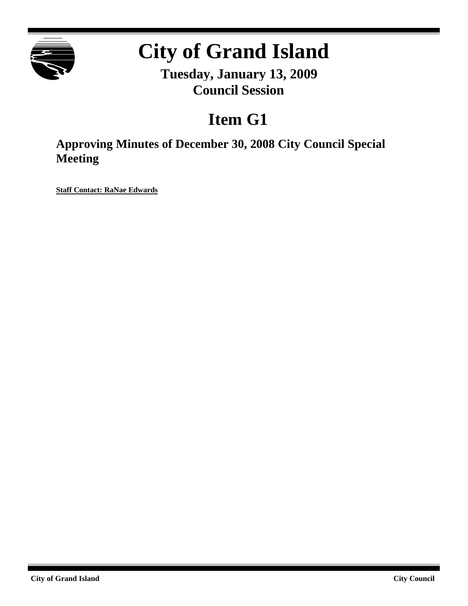

# **City of Grand Island**

**Tuesday, January 13, 2009 Council Session**

## **Item G1**

**Approving Minutes of December 30, 2008 City Council Special Meeting**

**Staff Contact: RaNae Edwards**